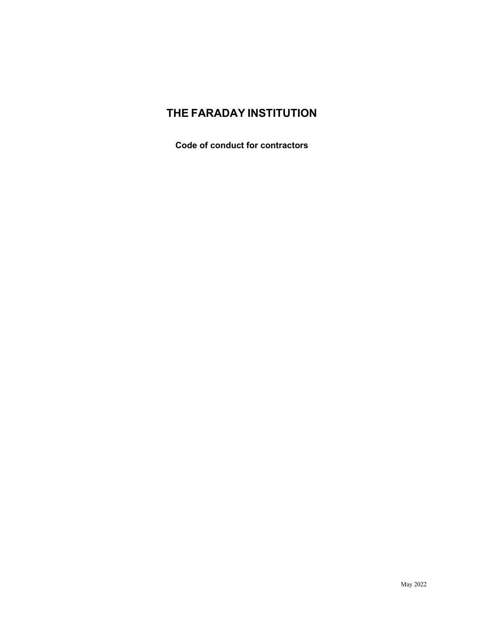# **THE FARADAY INSTITUTION**

**Code of conduct for contractors**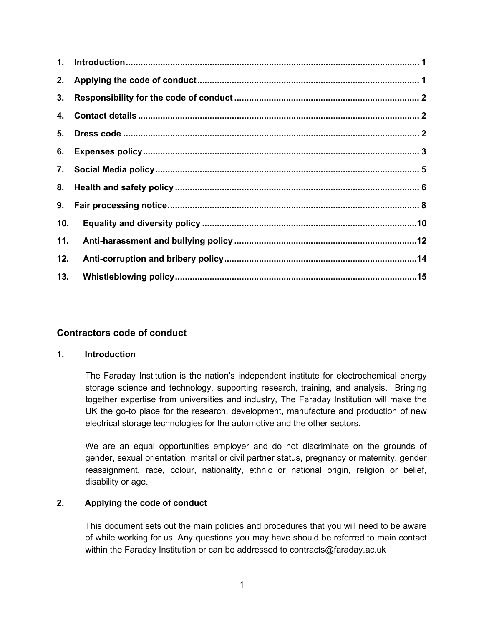| 3.  |  |
|-----|--|
| 4.  |  |
| 5.  |  |
| 6.  |  |
|     |  |
|     |  |
|     |  |
| 10. |  |
| 11. |  |
| 12. |  |
| 13. |  |

# **Contractors code of conduct**

# <span id="page-1-0"></span>**1. Introduction**

The Faraday Institution is the nation's independent institute for electrochemical energy storage science and technology, supporting research, training, and analysis. Bringing together expertise from universities and industry, The Faraday Institution will make the UK the go-to place for the research, development, manufacture and production of new electrical storage technologies for the automotive and the other sectors**.**

We are an equal opportunities employer and do not discriminate on the grounds of gender, sexual orientation, marital or civil partner status, pregnancy or maternity, gender reassignment, race, colour, nationality, ethnic or national origin, religion or belief, disability or age.

# <span id="page-1-1"></span>**2. Applying the code of conduct**

This document sets out the main policies and procedures that you will need to be aware of while working for us. Any questions you may have should be referred to main contact within the Faraday Institution or can be addressed to contracts@faraday.ac.uk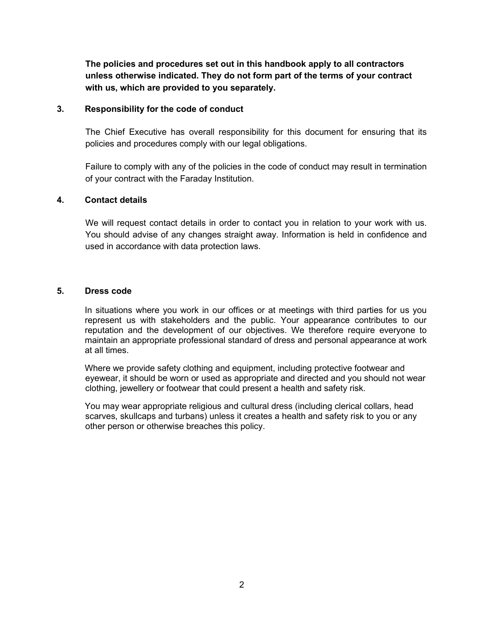**The policies and procedures set out in this handbook apply to all contractors unless otherwise indicated. They do not form part of the terms of your contract with us, which are provided to you separately.** 

# <span id="page-2-0"></span>**3. Responsibility for the code of conduct**

The Chief Executive has overall responsibility for this document for ensuring that its policies and procedures comply with our legal obligations.

<span id="page-2-1"></span>Failure to comply with any of the policies in the code of conduct may result in termination of your contract with the Faraday Institution.

### **4. Contact details**

We will request contact details in order to contact you in relation to your work with us. You should advise of any changes straight away. Information is held in confidence and used in accordance with data protection laws.

#### <span id="page-2-2"></span>**5. Dress code**

In situations where you work in our offices or at meetings with third parties for us you represent us with stakeholders and the public. Your appearance contributes to our reputation and the development of our objectives. We therefore require everyone to maintain an appropriate professional standard of dress and personal appearance at work at all times.

Where we provide safety clothing and equipment, including protective footwear and eyewear, it should be worn or used as appropriate and directed and you should not wear clothing, jewellery or footwear that could present a health and safety risk.

You may wear appropriate religious and cultural dress (including clerical collars, head scarves, skullcaps and turbans) unless it creates a health and safety risk to you or any other person or otherwise breaches this policy.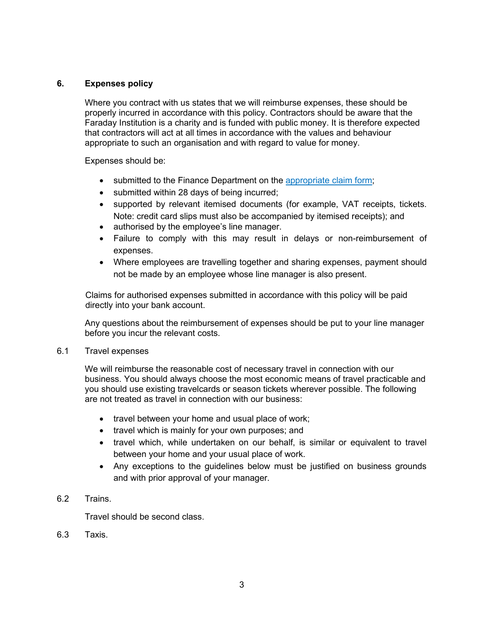# <span id="page-3-0"></span>**6. Expenses policy**

Where you contract with us states that we will reimburse expenses, these should be properly incurred in accordance with this policy. Contractors should be aware that the Faraday Institution is a charity and is funded with public money. It is therefore expected that contractors will act at all times in accordance with the values and behaviour appropriate to such an organisation and with regard to value for money.

Expenses should be:

- submitted to the Finance Department on the [appropriate claim form;](https://www.faraday.ac.uk/wp-content/uploads/2022/05/Blank-Expense-Form-.xlsx)
- submitted within 28 days of being incurred;
- supported by relevant itemised documents (for example, VAT receipts, tickets. Note: credit card slips must also be accompanied by itemised receipts); and
- authorised by the employee's line manager.
- Failure to comply with this may result in delays or non-reimbursement of expenses.
- Where employees are travelling together and sharing expenses, payment should not be made by an employee whose line manager is also present.

Claims for authorised expenses submitted in accordance with this policy will be paid directly into your bank account.

Any questions about the reimbursement of expenses should be put to your line manager before you incur the relevant costs.

### 6.1 Travel expenses

We will reimburse the reasonable cost of necessary travel in connection with our business. You should always choose the most economic means of travel practicable and you should use existing travelcards or season tickets wherever possible. The following are not treated as travel in connection with our business:

- travel between your home and usual place of work;
- travel which is mainly for your own purposes; and
- travel which, while undertaken on our behalf, is similar or equivalent to travel between your home and your usual place of work.
- Any exceptions to the guidelines below must be justified on business grounds and with prior approval of your manager.

# 6.2 Trains.

Travel should be second class.

6.3 Taxis.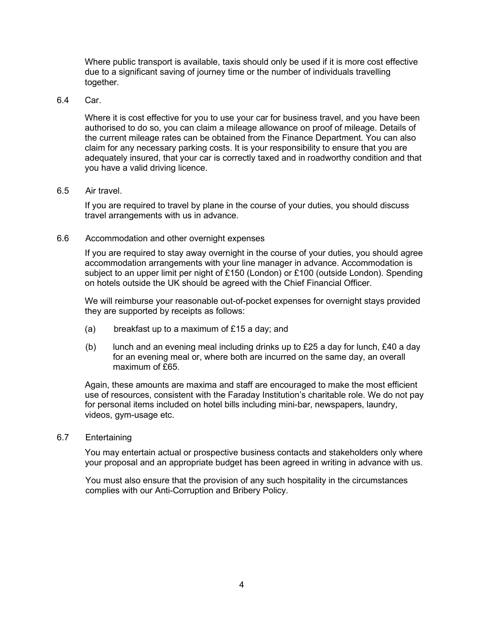Where public transport is available, taxis should only be used if it is more cost effective due to a significant saving of journey time or the number of individuals travelling together.

# 6.4 Car.

Where it is cost effective for you to use your car for business travel, and you have been authorised to do so, you can claim a mileage allowance on proof of mileage. Details of the current mileage rates can be obtained from the Finance Department. You can also claim for any necessary parking costs. It is your responsibility to ensure that you are adequately insured, that your car is correctly taxed and in roadworthy condition and that you have a valid driving licence.

# 6.5 Air travel.

If you are required to travel by plane in the course of your duties, you should discuss travel arrangements with us in advance.

# 6.6 Accommodation and other overnight expenses

If you are required to stay away overnight in the course of your duties, you should agree accommodation arrangements with your line manager in advance. Accommodation is subject to an upper limit per night of £150 (London) or £100 (outside London). Spending on hotels outside the UK should be agreed with the Chief Financial Officer.

We will reimburse your reasonable out-of-pocket expenses for overnight stays provided they are supported by receipts as follows:

- (a) breakfast up to a maximum of £15 a day; and
- (b) lunch and an evening meal including drinks up to  $£25$  a day for lunch,  $£40$  a day for an evening meal or, where both are incurred on the same day, an overall maximum of £65.

Again, these amounts are maxima and staff are encouraged to make the most efficient use of resources, consistent with the Faraday Institution's charitable role. We do not pay for personal items included on hotel bills including mini-bar, newspapers, laundry, videos, gym-usage etc.

# 6.7 Entertaining

You may entertain actual or prospective business contacts and stakeholders only where your proposal and an appropriate budget has been agreed in writing in advance with us.

You must also ensure that the provision of any such hospitality in the circumstances complies with our Anti-Corruption and Bribery Policy.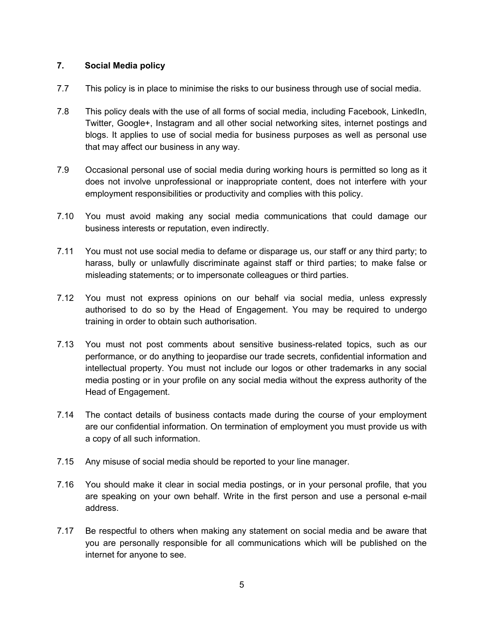# <span id="page-5-0"></span>**7. Social Media policy**

- 7.7 This policy is in place to minimise the risks to our business through use of social media.
- 7.8 This policy deals with the use of all forms of social media, including Facebook, LinkedIn, Twitter, Google+, Instagram and all other social networking sites, internet postings and blogs. It applies to use of social media for business purposes as well as personal use that may affect our business in any way.
- 7.9 Occasional personal use of social media during working hours is permitted so long as it does not involve unprofessional or inappropriate content, does not interfere with your employment responsibilities or productivity and complies with this policy.
- 7.10 You must avoid making any social media communications that could damage our business interests or reputation, even indirectly.
- 7.11 You must not use social media to defame or disparage us, our staff or any third party; to harass, bully or unlawfully discriminate against staff or third parties; to make false or misleading statements; or to impersonate colleagues or third parties.
- 7.12 You must not express opinions on our behalf via social media, unless expressly authorised to do so by the Head of Engagement. You may be required to undergo training in order to obtain such authorisation.
- 7.13 You must not post comments about sensitive business-related topics, such as our performance, or do anything to jeopardise our trade secrets, confidential information and intellectual property. You must not include our logos or other trademarks in any social media posting or in your profile on any social media without the express authority of the Head of Engagement.
- 7.14 The contact details of business contacts made during the course of your employment are our confidential information. On termination of employment you must provide us with a copy of all such information.
- 7.15 Any misuse of social media should be reported to your line manager.
- 7.16 You should make it clear in social media postings, or in your personal profile, that you are speaking on your own behalf. Write in the first person and use a personal e-mail address.
- 7.17 Be respectful to others when making any statement on social media and be aware that you are personally responsible for all communications which will be published on the internet for anyone to see.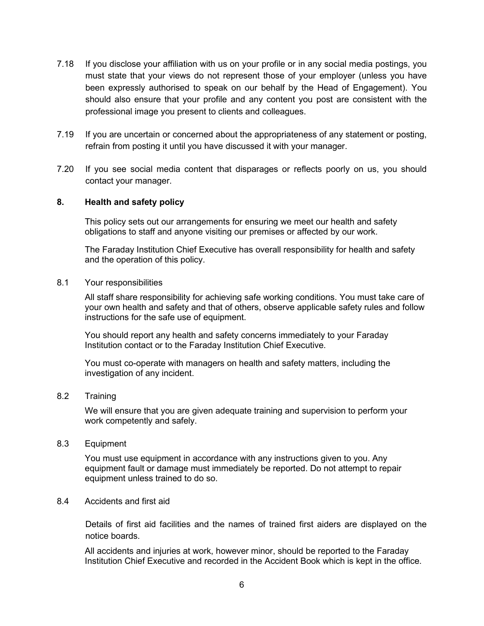- 7.18 If you disclose your affiliation with us on your profile or in any social media postings, you must state that your views do not represent those of your employer (unless you have been expressly authorised to speak on our behalf by the Head of Engagement). You should also ensure that your profile and any content you post are consistent with the professional image you present to clients and colleagues.
- 7.19 If you are uncertain or concerned about the appropriateness of any statement or posting, refrain from posting it until you have discussed it with your manager.
- 7.20 If you see social media content that disparages or reflects poorly on us, you should contact your manager.

### <span id="page-6-0"></span>**8. Health and safety policy**

This policy sets out our arrangements for ensuring we meet our health and safety obligations to staff and anyone visiting our premises or affected by our work.

The Faraday Institution Chief Executive has overall responsibility for health and safety and the operation of this policy.

8.1 Your responsibilities

All staff share responsibility for achieving safe working conditions. You must take care of your own health and safety and that of others, observe applicable safety rules and follow instructions for the safe use of equipment.

You should report any health and safety concerns immediately to your Faraday Institution contact or to the Faraday Institution Chief Executive.

You must co-operate with managers on health and safety matters, including the investigation of any incident.

8.2 Training

We will ensure that you are given adequate training and supervision to perform your work competently and safely.

8.3 Equipment

You must use equipment in accordance with any instructions given to you. Any equipment fault or damage must immediately be reported. Do not attempt to repair equipment unless trained to do so.

### 8.4 Accidents and first aid

Details of first aid facilities and the names of trained first aiders are displayed on the notice boards.

All accidents and injuries at work, however minor, should be reported to the Faraday Institution Chief Executive and recorded in the Accident Book which is kept in the office.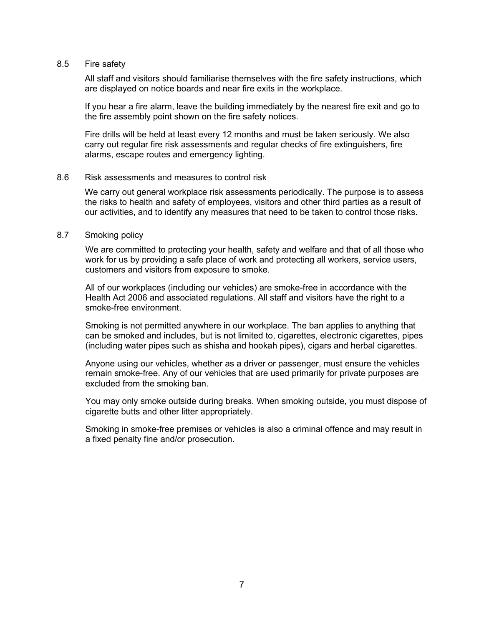#### 8.5 Fire safety

All staff and visitors should familiarise themselves with the fire safety instructions, which are displayed on notice boards and near fire exits in the workplace.

If you hear a fire alarm, leave the building immediately by the nearest fire exit and go to the fire assembly point shown on the fire safety notices.

Fire drills will be held at least every 12 months and must be taken seriously. We also carry out regular fire risk assessments and regular checks of fire extinguishers, fire alarms, escape routes and emergency lighting.

#### 8.6 Risk assessments and measures to control risk

We carry out general workplace risk assessments periodically. The purpose is to assess the risks to health and safety of employees, visitors and other third parties as a result of our activities, and to identify any measures that need to be taken to control those risks.

### 8.7 Smoking policy

We are committed to protecting your health, safety and welfare and that of all those who work for us by providing a safe place of work and protecting all workers, service users, customers and visitors from exposure to smoke.

All of our workplaces (including our vehicles) are smoke-free in accordance with the Health Act 2006 and associated regulations. All staff and visitors have the right to a smoke-free environment.

Smoking is not permitted anywhere in our workplace. The ban applies to anything that can be smoked and includes, but is not limited to, cigarettes, electronic cigarettes, pipes (including water pipes such as shisha and hookah pipes), cigars and herbal cigarettes.

Anyone using our vehicles, whether as a driver or passenger, must ensure the vehicles remain smoke-free. Any of our vehicles that are used primarily for private purposes are excluded from the smoking ban.

You may only smoke outside during breaks. When smoking outside, you must dispose of cigarette butts and other litter appropriately.

Smoking in smoke-free premises or vehicles is also a criminal offence and may result in a fixed penalty fine and/or prosecution.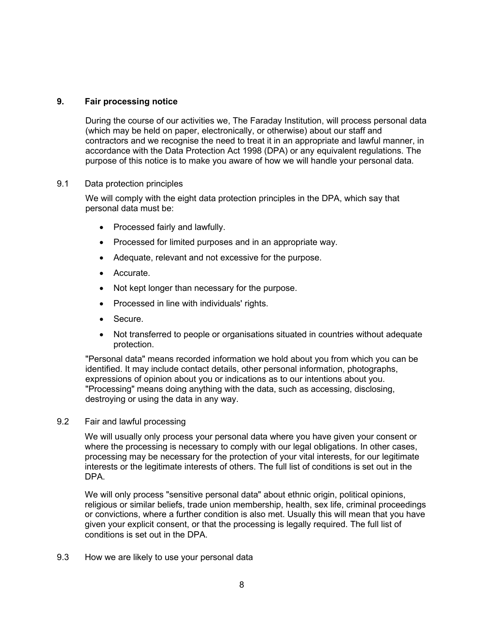# <span id="page-8-0"></span>**9. Fair processing notice**

During the course of our activities we, The Faraday Institution, will process personal data (which may be held on paper, electronically, or otherwise) about our staff and contractors and we recognise the need to treat it in an appropriate and lawful manner, in accordance with the Data Protection Act 1998 (DPA) or any equivalent regulations. The purpose of this notice is to make you aware of how we will handle your personal data.

# 9.1 Data protection principles

We will comply with the eight data protection principles in the DPA, which say that personal data must be:

- Processed fairly and lawfully.
- Processed for limited purposes and in an appropriate way.
- Adequate, relevant and not excessive for the purpose.
- Accurate.
- Not kept longer than necessary for the purpose.
- Processed in line with individuals' rights.
- Secure.
- Not transferred to people or organisations situated in countries without adequate protection.

"Personal data" means recorded information we hold about you from which you can be identified. It may include contact details, other personal information, photographs, expressions of opinion about you or indications as to our intentions about you. "Processing" means doing anything with the data, such as accessing, disclosing, destroying or using the data in any way.

9.2 Fair and lawful processing

We will usually only process your personal data where you have given your consent or where the processing is necessary to comply with our legal obligations. In other cases, processing may be necessary for the protection of your vital interests, for our legitimate interests or the legitimate interests of others. The full list of conditions is set out in the DPA.

We will only process "sensitive personal data" about ethnic origin, political opinions, religious or similar beliefs, trade union membership, health, sex life, criminal proceedings or convictions, where a further condition is also met. Usually this will mean that you have given your explicit consent, or that the processing is legally required. The full list of conditions is set out in the DPA.

9.3 How we are likely to use your personal data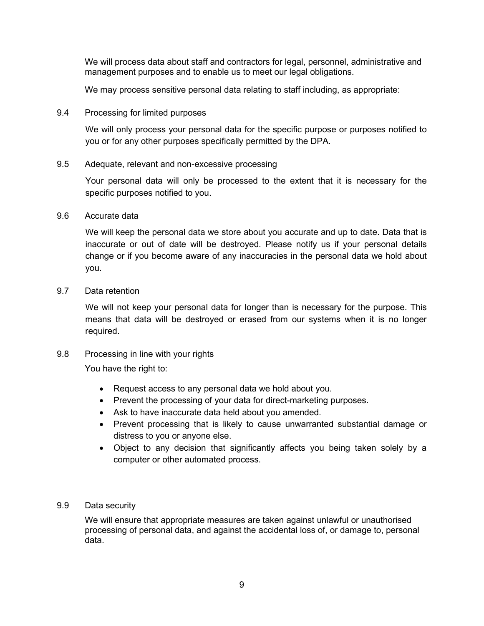We will process data about staff and contractors for legal, personnel, administrative and management purposes and to enable us to meet our legal obligations.

We may process sensitive personal data relating to staff including, as appropriate:

9.4 Processing for limited purposes

We will only process your personal data for the specific purpose or purposes notified to you or for any other purposes specifically permitted by the DPA.

9.5 Adequate, relevant and non-excessive processing

Your personal data will only be processed to the extent that it is necessary for the specific purposes notified to you.

9.6 Accurate data

We will keep the personal data we store about you accurate and up to date. Data that is inaccurate or out of date will be destroyed. Please notify us if your personal details change or if you become aware of any inaccuracies in the personal data we hold about you.

9.7 Data retention

We will not keep your personal data for longer than is necessary for the purpose. This means that data will be destroyed or erased from our systems when it is no longer required.

9.8 Processing in line with your rights

You have the right to:

- Request access to any personal data we hold about you.
- Prevent the processing of your data for direct-marketing purposes.
- Ask to have inaccurate data held about you amended.
- Prevent processing that is likely to cause unwarranted substantial damage or distress to you or anyone else.
- Object to any decision that significantly affects you being taken solely by a computer or other automated process.
- 9.9 Data security

We will ensure that appropriate measures are taken against unlawful or unauthorised processing of personal data, and against the accidental loss of, or damage to, personal data.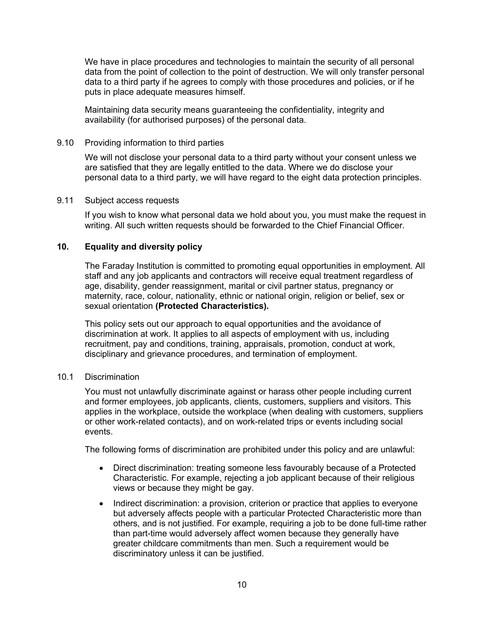We have in place procedures and technologies to maintain the security of all personal data from the point of collection to the point of destruction. We will only transfer personal data to a third party if he agrees to comply with those procedures and policies, or if he puts in place adequate measures himself.

Maintaining data security means guaranteeing the confidentiality, integrity and availability (for authorised purposes) of the personal data.

# 9.10 Providing information to third parties

We will not disclose your personal data to a third party without your consent unless we are satisfied that they are legally entitled to the data. Where we do disclose your personal data to a third party, we will have regard to the eight data protection principles.

# 9.11 Subject access requests

If you wish to know what personal data we hold about you, you must make the request in writing. All such written requests should be forwarded to the Chief Financial Officer.

# <span id="page-10-0"></span>**10. Equality and diversity policy**

The Faraday Institution is committed to promoting equal opportunities in employment. All staff and any job applicants and contractors will receive equal treatment regardless of age, disability, gender reassignment, marital or civil partner status, pregnancy or maternity, race, colour, nationality, ethnic or national origin, religion or belief, sex or sexual orientation **(Protected Characteristics).**

This policy sets out our approach to equal opportunities and the avoidance of discrimination at work. It applies to all aspects of employment with us, including recruitment, pay and conditions, training, appraisals, promotion, conduct at work, disciplinary and grievance procedures, and termination of employment.

### 10.1 Discrimination

You must not unlawfully discriminate against or harass other people including current and former employees, job applicants, clients, customers, suppliers and visitors. This applies in the workplace, outside the workplace (when dealing with customers, suppliers or other work-related contacts), and on work-related trips or events including social events.

The following forms of discrimination are prohibited under this policy and are unlawful:

- Direct discrimination: treating someone less favourably because of a Protected Characteristic. For example, rejecting a job applicant because of their religious views or because they might be gay.
- Indirect discrimination: a provision, criterion or practice that applies to everyone but adversely affects people with a particular Protected Characteristic more than others, and is not justified. For example, requiring a job to be done full-time rather than part-time would adversely affect women because they generally have greater childcare commitments than men. Such a requirement would be discriminatory unless it can be justified.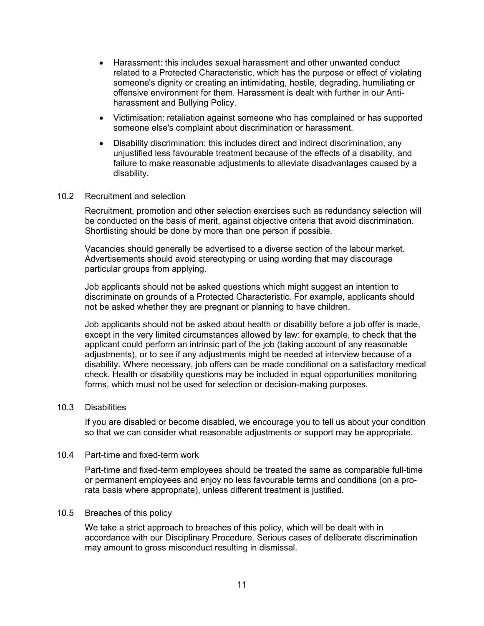- Harassment: this includes sexual harassment and other unwanted conduct related to a Protected Characteristic, which has the purpose or effect of violating someone's dignity or creating an intimidating, hostile, degrading, humiliating or offensive environment for them. Harassment is dealt with further in our Antiharassment and Bullying Policy.
- Victimisation: retaliation against someone who has complained or has supported someone else's complaint about discrimination or harassment.
- Disability discrimination: this includes direct and indirect discrimination, any unjustified less favourable treatment because of the effects of a disability, and failure to make reasonable adjustments to alleviate disadvantages caused by a disability.
- 10.2 Recruitment and selection

Recruitment, promotion and other selection exercises such as redundancy selection will be conducted on the basis of merit, against objective criteria that avoid discrimination. Shortlisting should be done by more than one person if possible.

Vacancies should generally be advertised to a diverse section of the labour market. Advertisements should avoid stereotyping or using wording that may discourage particular groups from applying.

Job applicants should not be asked questions which might suggest an intention to discriminate on grounds of a Protected Characteristic. For example, applicants should not be asked whether they are pregnant or planning to have children.

Job applicants should not be asked about health or disability before a job offer is made, except in the very limited circumstances allowed by law: for example, to check that the applicant could perform an intrinsic part of the job (taking account of any reasonable adjustments), or to see if any adjustments might be needed at interview because of a disability. Where necessary, job offers can be made conditional on a satisfactory medical check. Health or disability questions may be included in equal opportunities monitoring forms, which must not be used for selection or decision-making purposes.

### 10.3 Disabilities

If you are disabled or become disabled, we encourage you to tell us about your condition so that we can consider what reasonable adjustments or support may be appropriate.

#### 10.4 Part-time and fixed-term work

Part-time and fixed-term employees should be treated the same as comparable full-time or permanent employees and enjoy no less favourable terms and conditions (on a prorata basis where appropriate), unless different treatment is justified.

#### 10.5 Breaches of this policy

We take a strict approach to breaches of this policy, which will be dealt with in accordance with our Disciplinary Procedure. Serious cases of deliberate discrimination may amount to gross misconduct resulting in dismissal.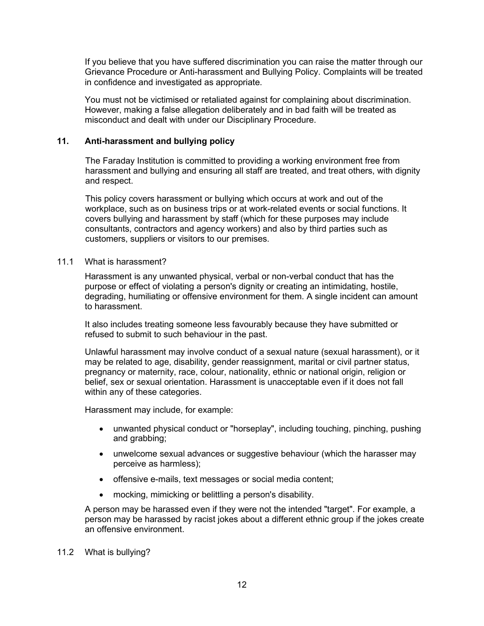If you believe that you have suffered discrimination you can raise the matter through our Grievance Procedure or Anti-harassment and Bullying Policy. Complaints will be treated in confidence and investigated as appropriate.

You must not be victimised or retaliated against for complaining about discrimination. However, making a false allegation deliberately and in bad faith will be treated as misconduct and dealt with under our Disciplinary Procedure.

# <span id="page-12-0"></span>**11. Anti-harassment and bullying policy**

The Faraday Institution is committed to providing a working environment free from harassment and bullying and ensuring all staff are treated, and treat others, with dignity and respect.

This policy covers harassment or bullying which occurs at work and out of the workplace, such as on business trips or at work-related events or social functions. It covers bullying and harassment by staff (which for these purposes may include consultants, contractors and agency workers) and also by third parties such as customers, suppliers or visitors to our premises.

# 11.1 What is harassment?

Harassment is any unwanted physical, verbal or non-verbal conduct that has the purpose or effect of violating a person's dignity or creating an intimidating, hostile, degrading, humiliating or offensive environment for them. A single incident can amount to harassment.

It also includes treating someone less favourably because they have submitted or refused to submit to such behaviour in the past.

Unlawful harassment may involve conduct of a sexual nature (sexual harassment), or it may be related to age, disability, gender reassignment, marital or civil partner status, pregnancy or maternity, race, colour, nationality, ethnic or national origin, religion or belief, sex or sexual orientation. Harassment is unacceptable even if it does not fall within any of these categories.

Harassment may include, for example:

- unwanted physical conduct or "horseplay", including touching, pinching, pushing and grabbing;
- unwelcome sexual advances or suggestive behaviour (which the harasser may perceive as harmless);
- offensive e-mails, text messages or social media content;
- mocking, mimicking or belittling a person's disability.

A person may be harassed even if they were not the intended "target". For example, a person may be harassed by racist jokes about a different ethnic group if the jokes create an offensive environment.

# 11.2 What is bullying?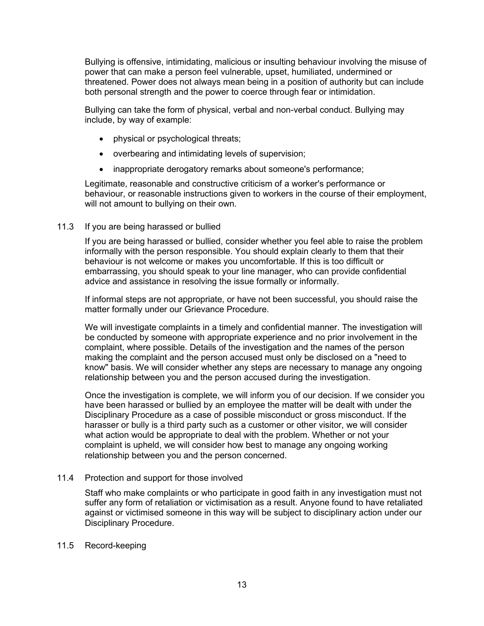Bullying is offensive, intimidating, malicious or insulting behaviour involving the misuse of power that can make a person feel vulnerable, upset, humiliated, undermined or threatened. Power does not always mean being in a position of authority but can include both personal strength and the power to coerce through fear or intimidation.

Bullying can take the form of physical, verbal and non-verbal conduct. Bullying may include, by way of example:

- physical or psychological threats;
- overbearing and intimidating levels of supervision;
- inappropriate derogatory remarks about someone's performance;

Legitimate, reasonable and constructive criticism of a worker's performance or behaviour, or reasonable instructions given to workers in the course of their employment, will not amount to bullying on their own.

# 11.3 If you are being harassed or bullied

If you are being harassed or bullied, consider whether you feel able to raise the problem informally with the person responsible. You should explain clearly to them that their behaviour is not welcome or makes you uncomfortable. If this is too difficult or embarrassing, you should speak to your line manager, who can provide confidential advice and assistance in resolving the issue formally or informally.

If informal steps are not appropriate, or have not been successful, you should raise the matter formally under our Grievance Procedure.

We will investigate complaints in a timely and confidential manner. The investigation will be conducted by someone with appropriate experience and no prior involvement in the complaint, where possible. Details of the investigation and the names of the person making the complaint and the person accused must only be disclosed on a "need to know" basis. We will consider whether any steps are necessary to manage any ongoing relationship between you and the person accused during the investigation.

Once the investigation is complete, we will inform you of our decision. If we consider you have been harassed or bullied by an employee the matter will be dealt with under the Disciplinary Procedure as a case of possible misconduct or gross misconduct. If the harasser or bully is a third party such as a customer or other visitor, we will consider what action would be appropriate to deal with the problem. Whether or not your complaint is upheld, we will consider how best to manage any ongoing working relationship between you and the person concerned.

### 11.4 Protection and support for those involved

Staff who make complaints or who participate in good faith in any investigation must not suffer any form of retaliation or victimisation as a result. Anyone found to have retaliated against or victimised someone in this way will be subject to disciplinary action under our Disciplinary Procedure.

### 11.5 Record-keeping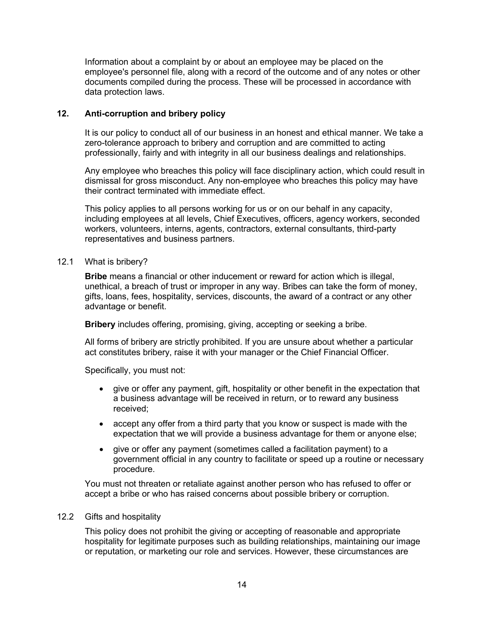Information about a complaint by or about an employee may be placed on the employee's personnel file, along with a record of the outcome and of any notes or other documents compiled during the process. These will be processed in accordance with data protection laws.

# <span id="page-14-0"></span>**12. Anti-corruption and bribery policy**

It is our policy to conduct all of our business in an honest and ethical manner. We take a zero-tolerance approach to bribery and corruption and are committed to acting professionally, fairly and with integrity in all our business dealings and relationships.

Any employee who breaches this policy will face disciplinary action, which could result in dismissal for gross misconduct. Any non-employee who breaches this policy may have their contract terminated with immediate effect.

This policy applies to all persons working for us or on our behalf in any capacity, including employees at all levels, Chief Executives, officers, agency workers, seconded workers, volunteers, interns, agents, contractors, external consultants, third-party representatives and business partners.

12.1 What is bribery?

**Bribe** means a financial or other inducement or reward for action which is illegal, unethical, a breach of trust or improper in any way. Bribes can take the form of money, gifts, loans, fees, hospitality, services, discounts, the award of a contract or any other advantage or benefit.

**Bribery** includes offering, promising, giving, accepting or seeking a bribe.

All forms of bribery are strictly prohibited. If you are unsure about whether a particular act constitutes bribery, raise it with your manager or the Chief Financial Officer.

Specifically, you must not:

- give or offer any payment, gift, hospitality or other benefit in the expectation that a business advantage will be received in return, or to reward any business received;
- accept any offer from a third party that you know or suspect is made with the expectation that we will provide a business advantage for them or anyone else;
- give or offer any payment (sometimes called a facilitation payment) to a government official in any country to facilitate or speed up a routine or necessary procedure.

You must not threaten or retaliate against another person who has refused to offer or accept a bribe or who has raised concerns about possible bribery or corruption.

# 12.2 Gifts and hospitality

This policy does not prohibit the giving or accepting of reasonable and appropriate hospitality for legitimate purposes such as building relationships, maintaining our image or reputation, or marketing our role and services. However, these circumstances are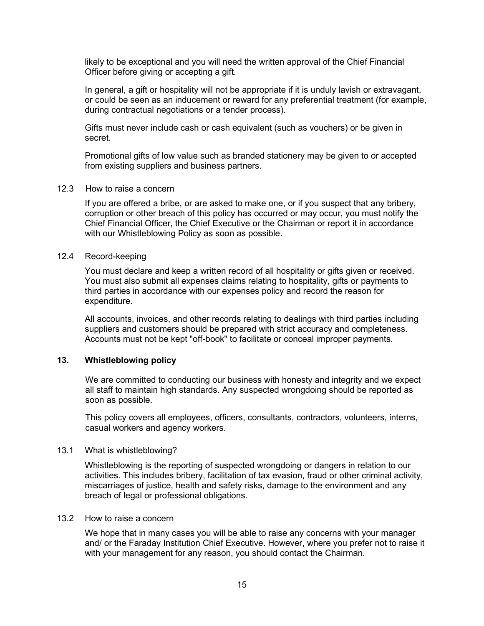likely to be exceptional and you will need the written approval of the Chief Financial Officer before giving or accepting a gift.

In general, a gift or hospitality will not be appropriate if it is unduly lavish or extravagant, or could be seen as an inducement or reward for any preferential treatment (for example, during contractual negotiations or a tender process).

Gifts must never include cash or cash equivalent (such as vouchers) or be given in secret.

Promotional gifts of low value such as branded stationery may be given to or accepted from existing suppliers and business partners.

### 12.3 How to raise a concern

If you are offered a bribe, or are asked to make one, or if you suspect that any bribery, corruption or other breach of this policy has occurred or may occur, you must notify the Chief Financial Officer, the Chief Executive or the Chairman or report it in accordance with our Whistleblowing Policy as soon as possible.

# 12.4 Record-keeping

You must declare and keep a written record of all hospitality or gifts given or received. You must also submit all expenses claims relating to hospitality, gifts or payments to third parties in accordance with our expenses policy and record the reason for expenditure.

All accounts, invoices, and other records relating to dealings with third parties including suppliers and customers should be prepared with strict accuracy and completeness. Accounts must not be kept "off-book" to facilitate or conceal improper payments.

# <span id="page-15-0"></span>**13. Whistleblowing policy**

We are committed to conducting our business with honesty and integrity and we expect all staff to maintain high standards. Any suspected wrongdoing should be reported as soon as possible.

This policy covers all employees, officers, consultants, contractors, volunteers, interns, casual workers and agency workers.

#### 13.1 What is whistleblowing?

Whistleblowing is the reporting of suspected wrongdoing or dangers in relation to our activities. This includes bribery, facilitation of tax evasion, fraud or other criminal activity, miscarriages of justice, health and safety risks, damage to the environment and any breach of legal or professional obligations.

# 13.2 How to raise a concern

We hope that in many cases you will be able to raise any concerns with your manager and/ or the Faraday Institution Chief Executive. However, where you prefer not to raise it with your management for any reason, you should contact the Chairman.